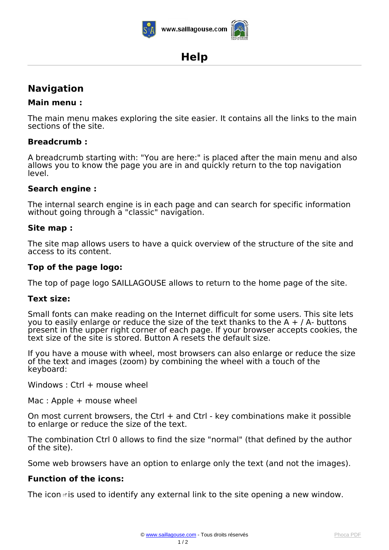

## www.saillagouse.com

# **Help**

### **Navigation**

#### **Main menu :**

*The main menu makes exploring the site easier. It contains all the links to the main sections of the site.*

#### **Breadcrumb :**

*A breadcrumb starting with: "You are here:" is placed after the main menu and also allows you to know the page you are in and quickly return to the top navigation level.*

#### **Search engine :**

*The internal search engine is in each page and can search for specific information without going through a "classic" navigation.*

#### **Site map :**

*The site map allows users to have a quick overview of the structure of the site and access to its content.*

#### **Top of the page logo:**

*The top of page logo SAILLAGOUSE allows to return to the home page of the site.*

#### **Text size:**

*Small fonts can make reading on the Internet difficult for some users. This site lets you to easily enlarge or reduce the size of the text thanks to the A + / A- buttons present in the upper right corner of each page. If your browser accepts cookies, the text size of the site is stored. Button A resets the default size.*

*If you have a mouse with wheel, most browsers can also enlarge or reduce the size of the text and images (zoom) by combining the wheel with a touch of the keyboard:*

*Windows : Ctrl + mouse wheel*

*Mac : Apple + mouse wheel*

*On most current browsers, the Ctrl + and Ctrl - key combinations make it possible to enlarge or reduce the size of the text.*

*The combination Ctrl 0 allows to find the size "normal" (that defined by the author of the site).*

*Some web browsers have an option to enlarge only the text (and not the images).*

#### **Function of the icons:**

*The icon is used to identify any external link to the site opening a new window.*